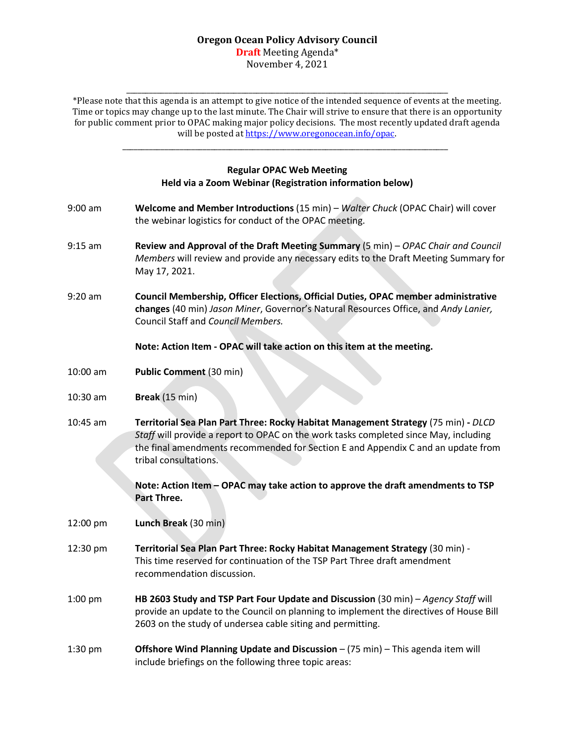#### **Oregon Ocean Policy Advisory Council Draft** Meeting Agenda\*

November 4, 2021

\_\_\_\_\_\_\_\_\_\_\_\_\_\_\_\_\_\_\_\_\_\_\_\_\_\_\_\_\_\_\_\_\_\_\_\_\_\_\_\_\_\_\_\_\_\_\_\_\_\_\_\_\_\_\_\_\_\_\_\_\_\_\_\_\_\_\_\_\_\_\_\_\_\_\_\_\_\_\_\_\_\_\_\_ \*Please note that this agenda is an attempt to give notice of the intended sequence of events at the meeting. Time or topics may change up to the last minute. The Chair will strive to ensure that there is an opportunity for public comment prior to OPAC making major policy decisions. The most recently updated draft agenda will be posted at https://www.oregonocean.info/opac.

### **Regular OPAC Web Meeting Held via a Zoom Webinar (Registration information below)**

\_\_\_\_\_\_\_\_\_\_\_\_\_\_\_\_\_\_\_\_\_\_\_\_\_\_\_\_\_\_\_\_\_\_\_\_\_\_\_\_\_\_\_\_\_\_\_\_\_\_\_\_\_\_\_\_\_\_\_\_\_\_\_\_\_\_\_\_\_\_\_\_\_\_\_\_\_\_\_\_\_\_\_\_\_

- 9:00 am **Welcome and Member Introductions** (15 min) *Walter Chuck* (OPAC Chair) will cover the webinar logistics for conduct of the OPAC meeting.
- 9:15 am **Review and Approval of the Draft Meeting Summary** (5 min) *OPAC Chair and Council Members* will review and provide any necessary edits to the Draft Meeting Summary for May 17, 2021.
- 9:20 am **Council Membership, Officer Elections, Official Duties, OPAC member administrative changes** (40 min) *Jason Miner*, Governor's Natural Resources Office, and *Andy Lanier,* Council Staff and *Council Members.*

# **Note: Action Item - OPAC will take action on this item at the meeting.**

- 10:00 am **Public Comment** (30 min)
- 10:30 am **Break** (15 min)
- 10:45 am **Territorial Sea Plan Part Three: Rocky Habitat Management Strategy** (75 min) **-** *DLCD Staff* will provide a report to OPAC on the work tasks completed since May, including the final amendments recommended for Section E and Appendix C and an update from tribal consultations.

**Note: Action Item – OPAC may take action to approve the draft amendments to TSP Part Three.**

12:00 pm **Lunch Break** (30 min)

- 12:30 pm **Territorial Sea Plan Part Three: Rocky Habitat Management Strategy** (30 min) This time reserved for continuation of the TSP Part Three draft amendment recommendation discussion.
- 1:00 pm **HB 2603 Study and TSP Part Four Update and Discussion** (30 min) *Agency Staff* will provide an update to the Council on planning to implement the directives of House Bill 2603 on the study of undersea cable siting and permitting.
- 1:30 pm **Offshore Wind Planning Update and Discussion** (75 min) This agenda item will include briefings on the following three topic areas: